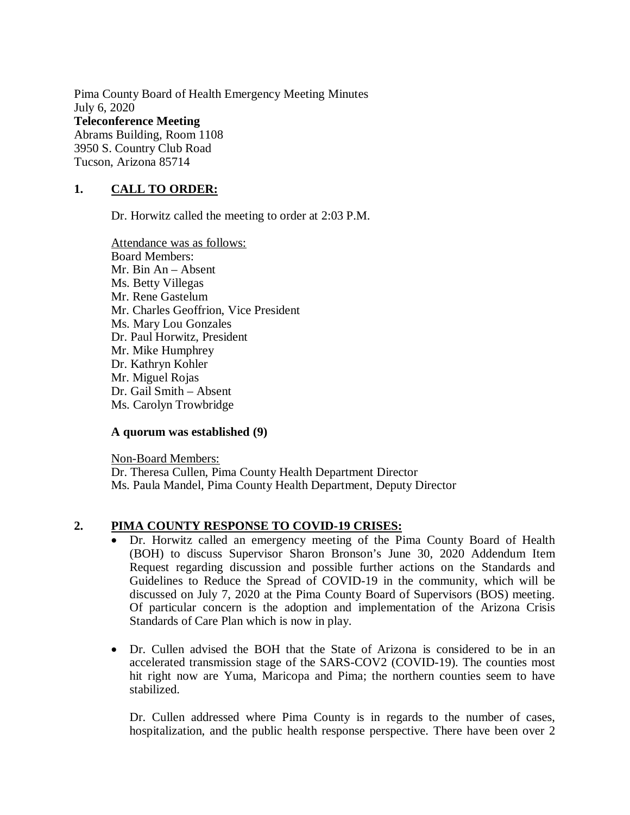Pima County Board of Health Emergency Meeting Minutes July 6, 2020 **Teleconference Meeting**  Abrams Building, Room 1108 3950 S. Country Club Road Tucson, Arizona 85714

## **1. CALL TO ORDER:**

Dr. Horwitz called the meeting to order at 2:03 P.M.

Attendance was as follows: Board Members: Mr. Bin An – Absent Ms. Betty Villegas Mr. Rene Gastelum Mr. Charles Geoffrion, Vice President Ms. Mary Lou Gonzales Dr. Paul Horwitz, President Mr. Mike Humphrey Dr. Kathryn Kohler Mr. Miguel Rojas Dr. Gail Smith – Absent Ms. Carolyn Trowbridge

#### **A quorum was established (9)**

Non-Board Members: Dr. Theresa Cullen, Pima County Health Department Director Ms. Paula Mandel, Pima County Health Department, Deputy Director

### **2. PIMA COUNTY RESPONSE TO COVID-19 CRISES:**

- Dr. Horwitz called an emergency meeting of the Pima County Board of Health (BOH) to discuss Supervisor Sharon Bronson's June 30, 2020 Addendum Item Request regarding discussion and possible further actions on the Standards and Guidelines to Reduce the Spread of COVID-19 in the community, which will be discussed on July 7, 2020 at the Pima County Board of Supervisors (BOS) meeting. Of particular concern is the adoption and implementation of the Arizona Crisis Standards of Care Plan which is now in play.
- Dr. Cullen advised the BOH that the State of Arizona is considered to be in an accelerated transmission stage of the SARS-COV2 (COVID-19). The counties most hit right now are Yuma, Maricopa and Pima; the northern counties seem to have stabilized.

Dr. Cullen addressed where Pima County is in regards to the number of cases, hospitalization, and the public health response perspective. There have been over 2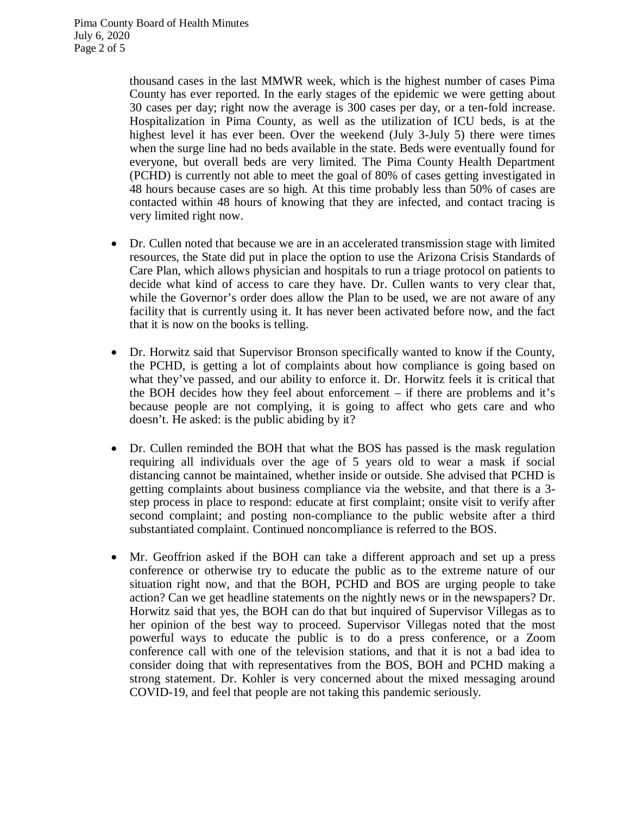thousand cases in the last MMWR week, which is the highest number of cases Pima County has ever reported. In the early stages of the epidemic we were getting about 30 cases per day; right now the average is 300 cases per day, or a ten-fold increase. Hospitalization in Pima County, as well as the utilization of ICU beds, is at the highest level it has ever been. Over the weekend (July 3-July 5) there were times when the surge line had no beds available in the state. Beds were eventually found for everyone, but overall beds are very limited. The Pima County Health Department (PCHD) is currently not able to meet the goal of 80% of cases getting investigated in 48 hours because cases are so high. At this time probably less than 50% of cases are contacted within 48 hours of knowing that they are infected, and contact tracing is very limited right now.

- Dr. Cullen noted that because we are in an accelerated transmission stage with limited resources, the State did put in place the option to use the Arizona Crisis Standards of Care Plan, which allows physician and hospitals to run a triage protocol on patients to decide what kind of access to care they have. Dr. Cullen wants to very clear that, while the Governor's order does allow the Plan to be used, we are not aware of any facility that is currently using it. It has never been activated before now, and the fact that it is now on the books is telling.
- Dr. Horwitz said that Supervisor Bronson specifically wanted to know if the County, the PCHD, is getting a lot of complaints about how compliance is going based on what they've passed, and our ability to enforce it. Dr. Horwitz feels it is critical that the BOH decides how they feel about enforcement – if there are problems and it's because people are not complying, it is going to affect who gets care and who doesn't. He asked: is the public abiding by it?
- Dr. Cullen reminded the BOH that what the BOS has passed is the mask regulation requiring all individuals over the age of 5 years old to wear a mask if social distancing cannot be maintained, whether inside or outside. She advised that PCHD is getting complaints about business compliance via the website, and that there is a 3 step process in place to respond: educate at first complaint; onsite visit to verify after second complaint; and posting non-compliance to the public website after a third substantiated complaint. Continued noncompliance is referred to the BOS.
- Mr. Geoffrion asked if the BOH can take a different approach and set up a press conference or otherwise try to educate the public as to the extreme nature of our situation right now, and that the BOH, PCHD and BOS are urging people to take action? Can we get headline statements on the nightly news or in the newspapers? Dr. Horwitz said that yes, the BOH can do that but inquired of Supervisor Villegas as to her opinion of the best way to proceed. Supervisor Villegas noted that the most powerful ways to educate the public is to do a press conference, or a Zoom conference call with one of the television stations, and that it is not a bad idea to consider doing that with representatives from the BOS, BOH and PCHD making a strong statement. Dr. Kohler is very concerned about the mixed messaging around COVID-19, and feel that people are not taking this pandemic seriously.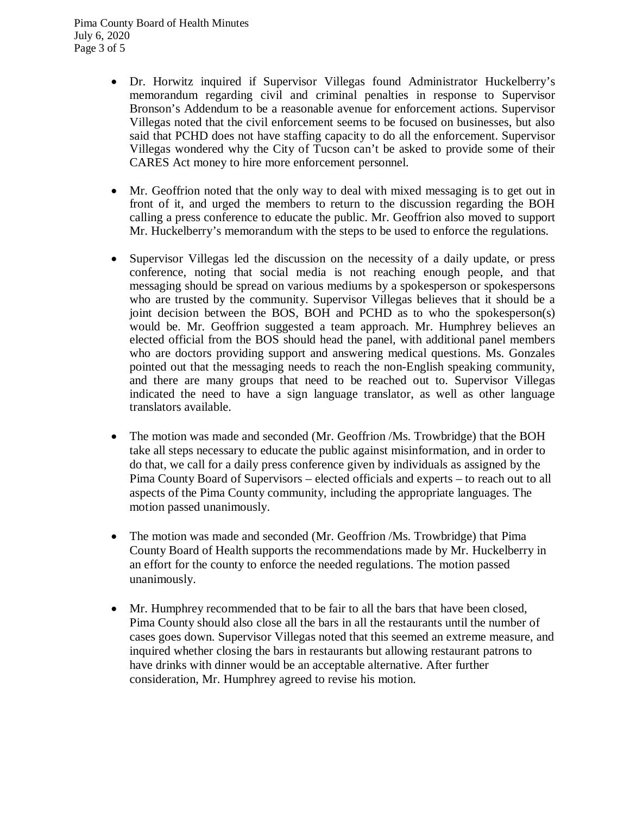- Dr. Horwitz inquired if Supervisor Villegas found Administrator Huckelberry's memorandum regarding civil and criminal penalties in response to Supervisor Bronson's Addendum to be a reasonable avenue for enforcement actions. Supervisor Villegas noted that the civil enforcement seems to be focused on businesses, but also said that PCHD does not have staffing capacity to do all the enforcement. Supervisor Villegas wondered why the City of Tucson can't be asked to provide some of their CARES Act money to hire more enforcement personnel.
- Mr. Geoffrion noted that the only way to deal with mixed messaging is to get out in front of it, and urged the members to return to the discussion regarding the BOH calling a press conference to educate the public. Mr. Geoffrion also moved to support Mr. Huckelberry's memorandum with the steps to be used to enforce the regulations.
- Supervisor Villegas led the discussion on the necessity of a daily update, or press conference, noting that social media is not reaching enough people, and that messaging should be spread on various mediums by a spokesperson or spokespersons who are trusted by the community. Supervisor Villegas believes that it should be a joint decision between the BOS, BOH and PCHD as to who the spokesperson(s) would be. Mr. Geoffrion suggested a team approach. Mr. Humphrey believes an elected official from the BOS should head the panel, with additional panel members who are doctors providing support and answering medical questions. Ms. Gonzales pointed out that the messaging needs to reach the non-English speaking community, and there are many groups that need to be reached out to. Supervisor Villegas indicated the need to have a sign language translator, as well as other language translators available.
- The motion was made and seconded (Mr. Geoffrion /Ms. Trowbridge) that the BOH take all steps necessary to educate the public against misinformation, and in order to do that, we call for a daily press conference given by individuals as assigned by the Pima County Board of Supervisors – elected officials and experts – to reach out to all aspects of the Pima County community, including the appropriate languages. The motion passed unanimously.
- The motion was made and seconded (Mr. Geoffrion /Ms. Trowbridge) that Pima County Board of Health supports the recommendations made by Mr. Huckelberry in an effort for the county to enforce the needed regulations. The motion passed unanimously.
- Mr. Humphrey recommended that to be fair to all the bars that have been closed, Pima County should also close all the bars in all the restaurants until the number of cases goes down. Supervisor Villegas noted that this seemed an extreme measure, and inquired whether closing the bars in restaurants but allowing restaurant patrons to have drinks with dinner would be an acceptable alternative. After further consideration, Mr. Humphrey agreed to revise his motion.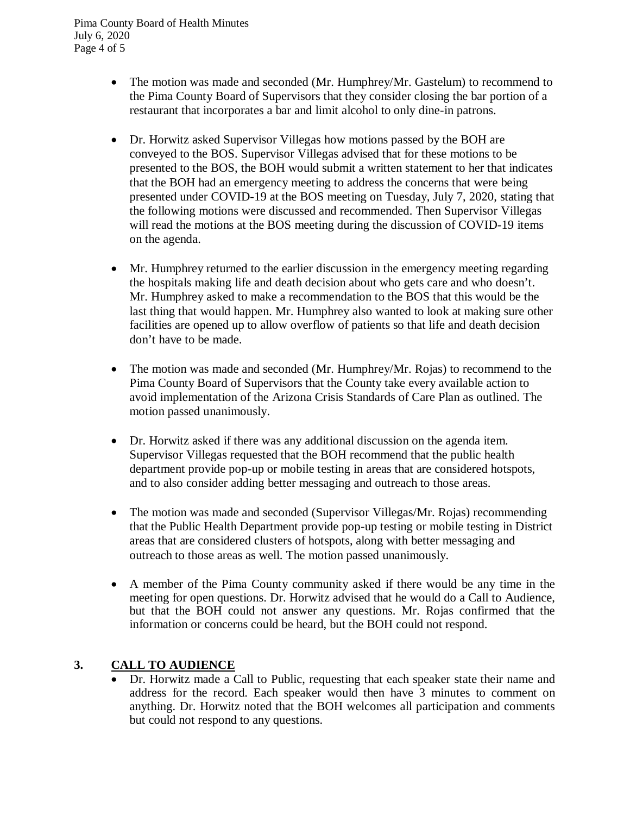- The motion was made and seconded (Mr. Humphrey/Mr. Gastelum) to recommend to the Pima County Board of Supervisors that they consider closing the bar portion of a restaurant that incorporates a bar and limit alcohol to only dine-in patrons.
- Dr. Horwitz asked Supervisor Villegas how motions passed by the BOH are conveyed to the BOS. Supervisor Villegas advised that for these motions to be presented to the BOS, the BOH would submit a written statement to her that indicates that the BOH had an emergency meeting to address the concerns that were being presented under COVID-19 at the BOS meeting on Tuesday, July 7, 2020, stating that the following motions were discussed and recommended. Then Supervisor Villegas will read the motions at the BOS meeting during the discussion of COVID-19 items on the agenda.
- Mr. Humphrey returned to the earlier discussion in the emergency meeting regarding the hospitals making life and death decision about who gets care and who doesn't. Mr. Humphrey asked to make a recommendation to the BOS that this would be the last thing that would happen. Mr. Humphrey also wanted to look at making sure other facilities are opened up to allow overflow of patients so that life and death decision don't have to be made.
- The motion was made and seconded (Mr. Humphrey/Mr. Rojas) to recommend to the Pima County Board of Supervisors that the County take every available action to avoid implementation of the Arizona Crisis Standards of Care Plan as outlined. The motion passed unanimously.
- Dr. Horwitz asked if there was any additional discussion on the agenda item. Supervisor Villegas requested that the BOH recommend that the public health department provide pop-up or mobile testing in areas that are considered hotspots, and to also consider adding better messaging and outreach to those areas.
- The motion was made and seconded (Supervisor Villegas/Mr. Rojas) recommending that the Public Health Department provide pop-up testing or mobile testing in District areas that are considered clusters of hotspots, along with better messaging and outreach to those areas as well. The motion passed unanimously.
- A member of the Pima County community asked if there would be any time in the meeting for open questions. Dr. Horwitz advised that he would do a Call to Audience, but that the BOH could not answer any questions. Mr. Rojas confirmed that the information or concerns could be heard, but the BOH could not respond.

# **3. CALL TO AUDIENCE**

 Dr. Horwitz made a Call to Public, requesting that each speaker state their name and address for the record. Each speaker would then have 3 minutes to comment on anything. Dr. Horwitz noted that the BOH welcomes all participation and comments but could not respond to any questions.